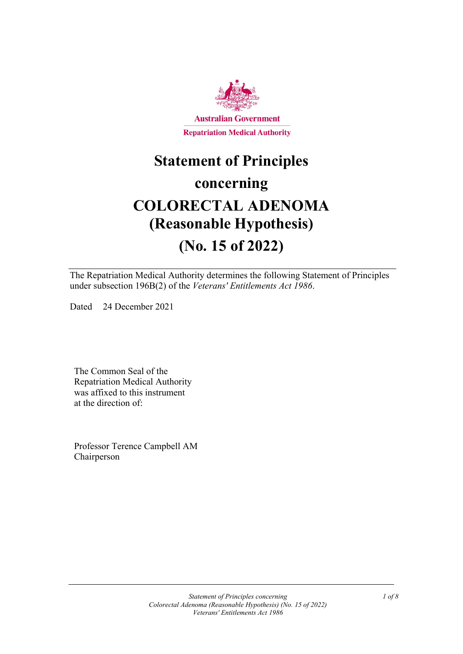

# **Statement of Principles concerning COLORECTAL ADENOMA (Reasonable Hypothesis) (No. 15 of 2022)**

The Repatriation Medical Authority determines the following Statement of Principles under subsection 196B(2) of the *Veterans' Entitlements Act 1986*.

Dated 24 December 2021

The Common Seal of the Repatriation Medical Authority was affixed to this instrument at the direction of:

Professor Terence Campbell AM Chairperson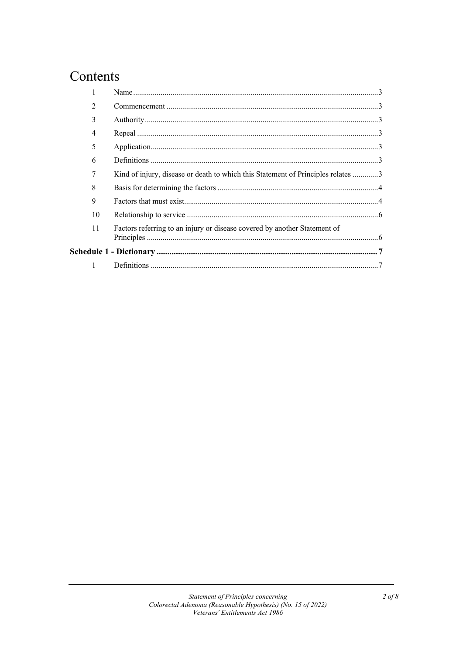# Contents

|  | $\mathfrak{D}$ |                                                                                  |  |
|--|----------------|----------------------------------------------------------------------------------|--|
|  | 3              |                                                                                  |  |
|  | 4              |                                                                                  |  |
|  | 5              |                                                                                  |  |
|  | 6              |                                                                                  |  |
|  | 7              | Kind of injury, disease or death to which this Statement of Principles relates 3 |  |
|  | 8              |                                                                                  |  |
|  | 9              |                                                                                  |  |
|  | 10             |                                                                                  |  |
|  | 11             | Factors referring to an injury or disease covered by another Statement of        |  |
|  |                |                                                                                  |  |
|  | $\mathbf{1}$   |                                                                                  |  |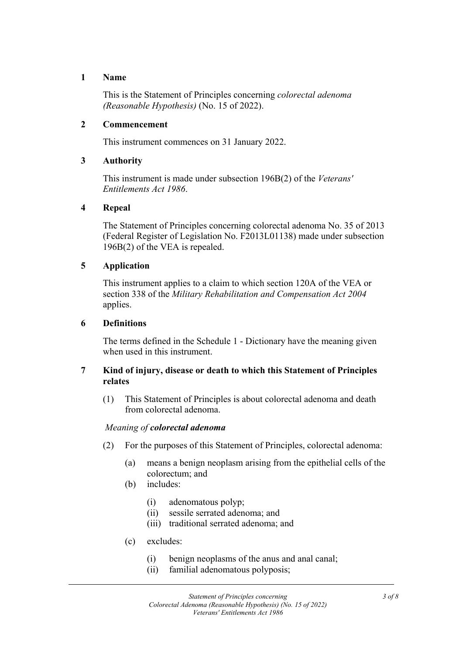# **1 Name**

This is the Statement of Principles concerning *colorectal adenoma (Reasonable Hypothesis)* (No. 15 of 2022).

# **2 Commencement**

This instrument commences on 31 January 2022.

# **3 Authority**

This instrument is made under subsection 196B(2) of the *Veterans' Entitlements Act 1986*.

# **4 Repeal**

The Statement of Principles concerning colorectal adenoma No. 35 of 2013 (Federal Register of Legislation No. F2013L01138) made under subsection 196B(2) of the VEA is repealed.

# **5 Application**

This instrument applies to a claim to which section 120A of the VEA or section 338 of the *Military Rehabilitation and Compensation Act 2004* applies.

# **6 Definitions**

The terms defined in the Schedule 1 - Dictionary have the meaning given when used in this instrument.

# **7 Kind of injury, disease or death to which this Statement of Principles relates**

(1) This Statement of Principles is about colorectal adenoma and death from colorectal adenoma.

#### *Meaning of colorectal adenoma*

- (2) For the purposes of this Statement of Principles, colorectal adenoma:
	- (a) means a benign neoplasm arising from the epithelial cells of the colorectum; and
	- (b) includes:
		- (i) adenomatous polyp;
		- (ii) sessile serrated adenoma; and
		- (iii) traditional serrated adenoma; and
	- (c) excludes:
		- (i) benign neoplasms of the anus and anal canal;
		- (ii) familial adenomatous polyposis;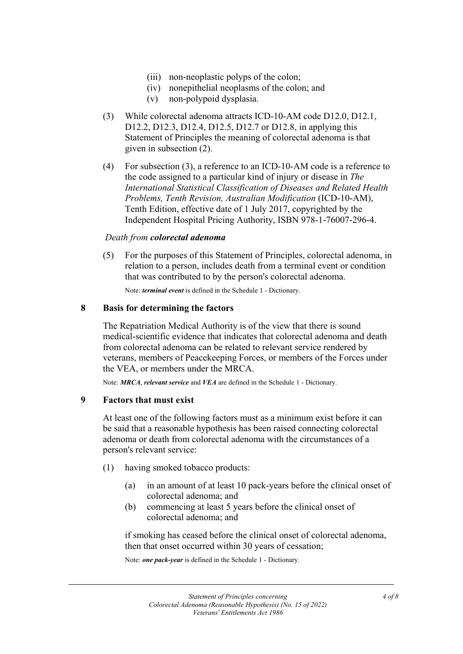- (iii) non-neoplastic polyps of the colon;
- (iv) nonepithelial neoplasms of the colon; and
- (v) non-polypoid dysplasia.
- (3) While colorectal adenoma attracts ICD-10-AM code D12.0, D12.1, D12.2, D12.3, D12.4, D12.5, D12.7 or D12.8, in applying this Statement of Principles the meaning of colorectal adenoma is that given in subsection (2).
- (4) For subsection (3), a reference to an ICD-10-AM code is a reference to the code assigned to a particular kind of injury or disease in *The International Statistical Classification of Diseases and Related Health Problems, Tenth Revision, Australian Modification* (ICD-10-AM), Tenth Edition, effective date of 1 July 2017, copyrighted by the Independent Hospital Pricing Authority, ISBN 978-1-76007-296-4.

#### *Death from colorectal adenoma*

(5) For the purposes of this Statement of Principles, colorectal adenoma, in relation to a person, includes death from a terminal event or condition that was contributed to by the person's colorectal adenoma.

Note: *terminal event* is defined in the Schedule 1 - Dictionary.

#### **8 Basis for determining the factors**

The Repatriation Medical Authority is of the view that there is sound medical-scientific evidence that indicates that colorectal adenoma and death from colorectal adenoma can be related to relevant service rendered by veterans, members of Peacekeeping Forces, or members of the Forces under the VEA, or members under the MRCA.

Note: *MRCA*, *relevant service* and *VEA* are defined in the Schedule 1 - Dictionary.

#### **9 Factors that must exist**

At least one of the following factors must as a minimum exist before it can be said that a reasonable hypothesis has been raised connecting colorectal adenoma or death from colorectal adenoma with the circumstances of a person's relevant service:

- (1) having smoked tobacco products:
	- (a) in an amount of at least 10 pack-years before the clinical onset of colorectal adenoma; and
	- (b) commencing at least 5 years before the clinical onset of colorectal adenoma; and

if smoking has ceased before the clinical onset of colorectal adenoma, then that onset occurred within 30 years of cessation;

Note: *one pack-year* is defined in the Schedule 1 - Dictionary.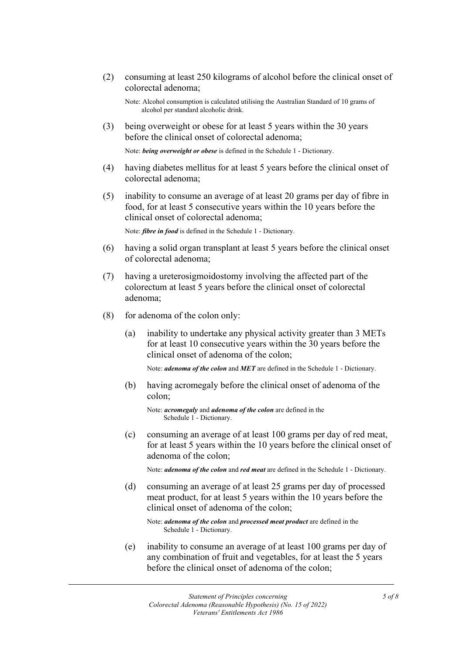(2) consuming at least 250 kilograms of alcohol before the clinical onset of colorectal adenoma;

Note: Alcohol consumption is calculated utilising the Australian Standard of 10 grams of alcohol per standard alcoholic drink.

(3) being overweight or obese for at least 5 years within the 30 years before the clinical onset of colorectal adenoma;

Note: *being overweight or obese* is defined in the Schedule 1 - Dictionary.

- (4) having diabetes mellitus for at least 5 years before the clinical onset of colorectal adenoma;
- (5) inability to consume an average of at least 20 grams per day of fibre in food, for at least 5 consecutive years within the 10 years before the clinical onset of colorectal adenoma;

Note: *fibre in food* is defined in the Schedule 1 - Dictionary.

- (6) having a solid organ transplant at least 5 years before the clinical onset of colorectal adenoma;
- (7) having a ureterosigmoidostomy involving the affected part of the colorectum at least 5 years before the clinical onset of colorectal adenoma;
- (8) for adenoma of the colon only:
	- (a) inability to undertake any physical activity greater than 3 METs for at least 10 consecutive years within the 30 years before the clinical onset of adenoma of the colon;

Note: *adenoma of the colon* and *MET* are defined in the Schedule 1 - Dictionary.

(b) having acromegaly before the clinical onset of adenoma of the colon;

Note: *acromegaly* and *adenoma of the colon* are defined in the Schedule 1 - Dictionary.

(c) consuming an average of at least 100 grams per day of red meat, for at least 5 years within the 10 years before the clinical onset of adenoma of the colon;

Note: *adenoma of the colon* and *red meat* are defined in the Schedule 1 - Dictionary.

(d) consuming an average of at least 25 grams per day of processed meat product, for at least 5 years within the 10 years before the clinical onset of adenoma of the colon;

Note: *adenoma of the colon* and *processed meat product* are defined in the Schedule 1 - Dictionary.

(e) inability to consume an average of at least 100 grams per day of any combination of fruit and vegetables, for at least the 5 years before the clinical onset of adenoma of the colon;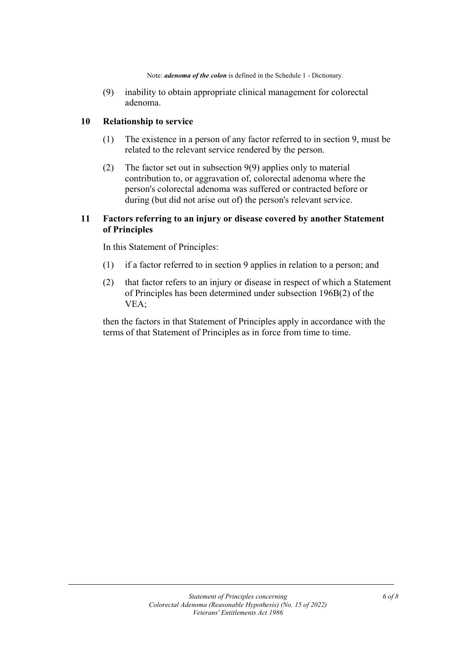Note: *adenoma of the colon* is defined in the Schedule 1 - Dictionary.

(9) inability to obtain appropriate clinical management for colorectal adenoma.

# **10 Relationship to service**

- (1) The existence in a person of any factor referred to in section 9, must be related to the relevant service rendered by the person.
- (2) The factor set out in subsection 9(9) applies only to material contribution to, or aggravation of, colorectal adenoma where the person's colorectal adenoma was suffered or contracted before or during (but did not arise out of) the person's relevant service.

# **11 Factors referring to an injury or disease covered by another Statement of Principles**

In this Statement of Principles:

- (1) if a factor referred to in section 9 applies in relation to a person; and
- (2) that factor refers to an injury or disease in respect of which a Statement of Principles has been determined under subsection 196B(2) of the VEA;

then the factors in that Statement of Principles apply in accordance with the terms of that Statement of Principles as in force from time to time.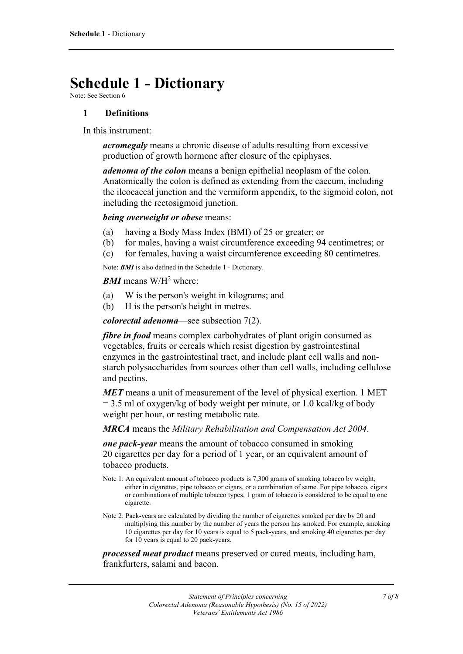# **Schedule 1 - Dictionary**

Note: See Section 6

# **1 Definitions**

In this instrument:

*acromegaly* means a chronic disease of adults resulting from excessive production of growth hormone after closure of the epiphyses.

*adenoma of the colon* means a benign epithelial neoplasm of the colon. Anatomically the colon is defined as extending from the caecum, including the ileocaecal junction and the vermiform appendix, to the sigmoid colon, not including the rectosigmoid junction.

*being overweight or obese* means:

- (a) having a Body Mass Index (BMI) of 25 or greater; or
- (b) for males, having a waist circumference exceeding 94 centimetres; or
- (c) for females, having a waist circumference exceeding 80 centimetres.

Note: *BMI* is also defined in the Schedule 1 - Dictionary.

#### *BMI* means W/H<sup>2</sup> where:

- (a) W is the person's weight in kilograms; and
- (b) H is the person's height in metres.

*colorectal adenoma*—see subsection 7(2).

*fibre in food* means complex carbohydrates of plant origin consumed as vegetables, fruits or cereals which resist digestion by gastrointestinal enzymes in the gastrointestinal tract, and include plant cell walls and nonstarch polysaccharides from sources other than cell walls, including cellulose and pectins.

*MET* means a unit of measurement of the level of physical exertion. 1 MET  $= 3.5$  ml of oxygen/kg of body weight per minute, or 1.0 kcal/kg of body weight per hour, or resting metabolic rate.

*MRCA* means the *Military Rehabilitation and Compensation Act 2004*.

*one pack-year* means the amount of tobacco consumed in smoking 20 cigarettes per day for a period of 1 year, or an equivalent amount of tobacco products.

- Note 1: An equivalent amount of tobacco products is 7,300 grams of smoking tobacco by weight, either in cigarettes, pipe tobacco or cigars, or a combination of same. For pipe tobacco, cigars or combinations of multiple tobacco types, 1 gram of tobacco is considered to be equal to one cigarette.
- Note 2: Pack-years are calculated by dividing the number of cigarettes smoked per day by 20 and multiplying this number by the number of years the person has smoked. For example, smoking 10 cigarettes per day for 10 years is equal to 5 pack-years, and smoking 40 cigarettes per day for 10 years is equal to 20 pack-years.

*processed meat product* means preserved or cured meats, including ham, frankfurters, salami and bacon.